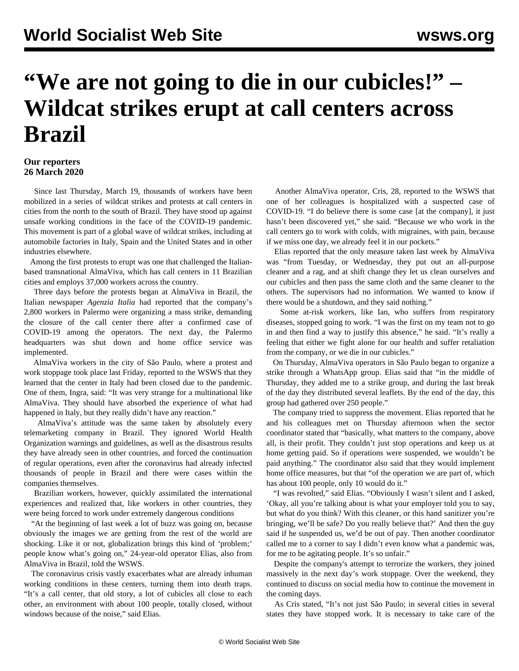## **"We are not going to die in our cubicles!" – Wildcat strikes erupt at call centers across Brazil**

## **Our reporters 26 March 2020**

 Since last Thursday, March 19, thousands of workers have been mobilized in a series of wildcat strikes and protests at call centers in cities from the north to the south of Brazil. They have stood up against unsafe working conditions in the face of the COVID-19 pandemic. This movement is part of a global wave of wildcat strikes, including at automobile factories in Italy, Spain and the United States and in other industries elsewhere.

 Among the first protests to erupt was one that challenged the Italianbased transnational AlmaViva, which has call centers in 11 Brazilian cities and employs 37,000 workers across the country.

 Three days before the protests began at AlmaViva in Brazil, the Italian newspaper *Agenzia Italia* had reported that the company's 2,800 workers in Palermo were organizing a mass strike, demanding the closure of the call center there after a confirmed case of COVID-19 among the operators. The next day, the Palermo headquarters was shut down and home office service was implemented.

 AlmaViva workers in the city of São Paulo, where a protest and work stoppage took place last Friday, reported to the WSWS that they learned that the center in Italy had been closed due to the pandemic. One of them, Ingra, said: "It was very strange for a multinational like AlmaViva. They should have absorbed the experience of what had happened in Italy, but they really didn't have any reaction."

 AlmaViva's attitude was the same taken by absolutely every telemarketing company in Brazil. They ignored World Health Organization warnings and guidelines, as well as the disastrous results they have already seen in other countries, and forced the continuation of regular operations, even after the coronavirus had already infected thousands of people in Brazil and there were cases within the companies themselves.

 Brazilian workers, however, quickly assimilated the international experiences and realized that, like workers in other countries, they were being forced to work under extremely dangerous conditions

 "At the beginning of last week a lot of buzz was going on, because obviously the images we are getting from the rest of the world are shocking. Like it or not, globalization brings this kind of 'problem;' people know what's going on," 24-year-old operator Elias, also from AlmaViva in Brazil, told the WSWS.

 The coronavirus crisis vastly exacerbates what are already inhuman working conditions in these centers, turning them into death traps. "It's a call center, that old story, a lot of cubicles all close to each other, an environment with about 100 people, totally closed, without windows because of the noise," said Elias.

 Another AlmaViva operator, Cris, 28, reported to the WSWS that one of her colleagues is hospitalized with a suspected case of COVID-19. "I do believe there is some case [at the company], it just hasn't been discovered yet," she said. "Because we who work in the call centers go to work with colds, with migraines, with pain, because if we miss one day, we already feel it in our pockets."

 Elias reported that the only measure taken last week by AlmaViva was "from Tuesday, or Wednesday, they put out an all-purpose cleaner and a rag, and at shift change they let us clean ourselves and our cubicles and then pass the same cloth and the same cleaner to the others. The supervisors had no information. We wanted to know if there would be a shutdown, and they said nothing."

 Some at-risk workers, like Ian, who suffers from respiratory diseases, stopped going to work. "I was the first on my team not to go in and then find a way to justify this absence," he said. "It's really a feeling that either we fight alone for our health and suffer retaliation from the company, or we die in our cubicles."

 On Thursday, AlmaViva operators in São Paulo began to organize a strike through a WhatsApp group. Elias said that "in the middle of Thursday, they added me to a strike group, and during the last break of the day they distributed several leaflets. By the end of the day, this group had gathered over 250 people."

 The company tried to suppress the movement. Elias reported that he and his colleagues met on Thursday afternoon when the sector coordinator stated that "basically, what matters to the company, above all, is their profit. They couldn't just stop operations and keep us at home getting paid. So if operations were suspended, we wouldn't be paid anything." The coordinator also said that they would implement home office measures, but that "of the operation we are part of, which has about 100 people, only 10 would do it."

 "I was revolted," said Elias. "Obviously I wasn't silent and I asked, 'Okay, all you're talking about is what your employer told you to say, but what do you think? With this cleaner, or this hand sanitizer you're bringing, we'll be safe? Do you really believe that?' And then the guy said if he suspended us, we'd be out of pay. Then another coordinator called me to a corner to say I didn't even know what a pandemic was, for me to be agitating people. It's so unfair."

 Despite the company's attempt to terrorize the workers, they joined massively in the next day's work stoppage. Over the weekend, they continued to discuss on social media how to continue the movement in the coming days.

 As Cris stated, "It's not just São Paulo; in several cities in several states they have stopped work. It is necessary to take care of the